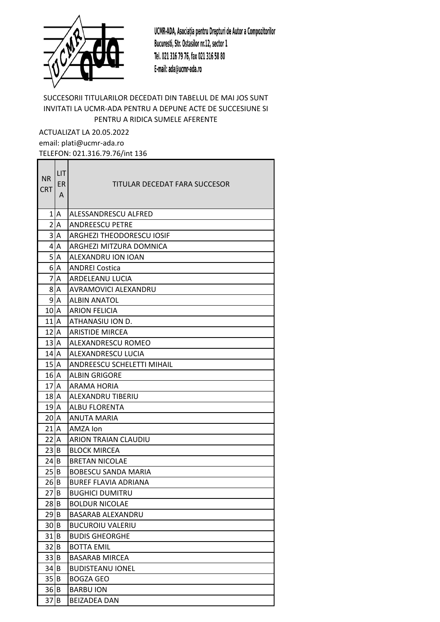

## SUCCESORII TITULARILOR DECEDATI DIN TABELUL DE MAI JOS SUNT INVITATI LA UCMR-ADA PENTRU A DEPUNE ACTE DE SUCCESIUNE SI PENTRU A RIDICA SUMELE AFERENTE

ACTUALIZAT LA 20.05.2022 email: plati@ucmr-ada.ro TELEFON: 021.316.79.76/int 136

| <b>NR</b><br><b>CRT</b> | LIT<br>ER<br>A | TITULAR DECEDAT FARA SUCCESOR     |
|-------------------------|----------------|-----------------------------------|
|                         | 1 A            | ALESSANDRESCU ALFRED              |
|                         | 2 A            | <b>ANDREESCU PETRE</b>            |
|                         | 3 A            | ARGHEZI THEODORESCU IOSIF         |
|                         | 4 A            | ARGHEZI MITZURA DOMNICA           |
|                         | 5 A            | ALEXANDRU ION IOAN                |
|                         | 6 A            | <b>ANDREI Costica</b>             |
| $\overline{7}$          | A              | <b>ARDELEANU LUCIA</b>            |
|                         | 8 A            | <b>AVRAMOVICI ALEXANDRU</b>       |
|                         | 9 A            | <b>ALBIN ANATOL</b>               |
| 10 A                    |                | <b>ARION FELICIA</b>              |
| $111$ A                 |                | ATHANASIU ION D.                  |
| 12 A                    |                | <b>ARISTIDE MIRCEA</b>            |
| 13 A                    |                | <b>ALEXANDRESCU ROMEO</b>         |
| $14$ $A$                |                | ALEXANDRESCU LUCIA                |
| $152$ A                 |                | <b>ANDREESCU SCHELETTI MIHAIL</b> |
| $16$ $A$                |                | <b>ALBIN GRIGORE</b>              |
| $172$ A                 |                | <b>ARAMA HORIA</b>                |
| $181$ A                 |                | ALEXANDRU TIBERIU                 |
| 19 <sup>2</sup>         |                | <b>ALBU FLORENTA</b>              |
| 20 <sup>1</sup> A       |                | <b>ANUTA MARIA</b>                |
| $21$ <sup>A</sup>       |                | AMZA Ion                          |
| 22 A                    |                | <b>ARION TRAIAN CLAUDIU</b>       |
| 23 B                    |                | <b>BLOCK MIRCEA</b>               |
| 24 B                    |                | <b>BRETAN NICOLAE</b>             |
| 25 B                    |                | <b>BOBESCU SANDA MARIA</b>        |
| 26 B                    |                | <b>BUREF FLAVIA ADRIANA</b>       |
| 27 B                    |                | <b>BUGHICI DUMITRU</b>            |
| $28$ B                  |                | <b>BOLDUR NICOLAE</b>             |
| 29 B                    |                | BASARAB ALEXANDRU                 |
| 30 B                    |                | <b>BUCUROIU VALERIU</b>           |
| 31 B                    |                | <b>BUDIS GHEORGHE</b>             |
| 32 B                    |                | <b>BOTTA EMIL</b>                 |
| 33 B                    |                | <b>BASARAB MIRCEA</b>             |
| 34 B                    |                | <b>BUDISTEANU IONEL</b>           |
| 35 B                    |                | <b>BOGZA GEO</b>                  |
| 36 B                    |                | <b>BARBU ION</b>                  |
| 37 B                    |                | <b>BEIZADEA DAN</b>               |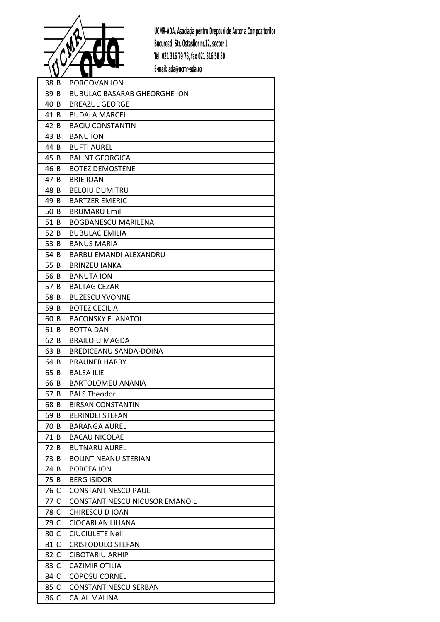

| $38$ B            |     | <b>BORGOVAN ION</b>                 |
|-------------------|-----|-------------------------------------|
| 39 B              |     | <b>BUBULAC BASARAB GHEORGHE ION</b> |
| 40 B              |     | <b>BREAZUL GEORGE</b>               |
| $41$ B            |     | <b>BUDALA MARCEL</b>                |
| 42 B              |     | <b>BACIU CONSTANTIN</b>             |
| 43 B              |     | <b>BANU ION</b>                     |
| 44 B              |     | <b>BUFTI AUREL</b>                  |
| 45 B              |     | <b>BALINT GEORGICA</b>              |
| 46 B              |     | <b>BOTEZ DEMOSTENE</b>              |
| $47$ $B$          |     | <b>BRIE IOAN</b>                    |
| 48 B              |     | <b>BELOIU DUMITRU</b>               |
| $49$ B            |     | <b>BARTZER EMERIC</b>               |
| 50 B              |     | <b>BRUMARU Emil</b>                 |
| $51$ B            |     | BOGDANESCU MARILENA                 |
| 52 B              |     | <b>BUBULAC EMILIA</b>               |
| 53 B              |     | <b>BANUS MARIA</b>                  |
| 54 B              |     | <b>BARBU EMANDI ALEXANDRU</b>       |
| 55 B              |     | <b>BRINZEU JANKA</b>                |
| 56 B              |     | <b>BANUTA ION</b>                   |
| 57 B              |     | <b>BALTAG CEZAR</b>                 |
| 58 B              |     | <b>BUZESCU YVONNE</b>               |
| 59 B              |     | <b>BOTEZ CECILIA</b>                |
| 60 B              |     | <b>BACONSKY E. ANATOL</b>           |
| $61$ B            |     | <b>BOTTA DAN</b>                    |
| $62$ B            |     | <b>BRAILOIU MAGDA</b>               |
| 63 B              |     | BREDICEANU SANDA-DOINA              |
| $64$ B            |     | <b>BRAUNER HARRY</b>                |
| $65$ B            |     | <b>BALEA ILIE</b>                   |
| $66$ B            |     | BARTOLOMEU ANANIA                   |
| $67$ B            |     | <b>BALS Theodor</b>                 |
| $68$ B            |     | <b>BIRSAN CONSTANTIN</b>            |
| $69$ B            |     | <b>BERINDEI STEFAN</b>              |
| 70 B              |     | <b>BARANGA AUREL</b>                |
| 71   B            |     | <b>BACAU NICOLAE</b>                |
| 72                | B   | <b>BUTNARU AUREL</b>                |
| 73                | ΙB  | <b>BOLINTINEANU STERIAN</b>         |
| 74 B              |     | <b>BORCEA ION</b>                   |
| 75                | l B | <b>BERG ISIDOR</b>                  |
| $76$ C            |     | CONSTANTINESCU PAUL                 |
| 77                | C   | CONSTANTINESCU NICUSOR EMANOIL      |
| 78C               |     | CHIRESCU D IOAN                     |
| 79 C              |     | CIOCARLAN LILIANA                   |
| 80 C              |     | <b>CIUCIULETE Neli</b>              |
| 81 C              |     | <b>CRISTODULO STEFAN</b>            |
| 82                | lC. | <b>CIBOTARIU ARHIP</b>              |
| 83 C              |     | CAZIMIR OTILIA                      |
| 84 C              |     | <b>COPOSU CORNEL</b>                |
| 85 C              |     | CONSTANTINESCU SERBAN               |
| $86$ <sub>c</sub> |     | <b>CAJAL MALINA</b>                 |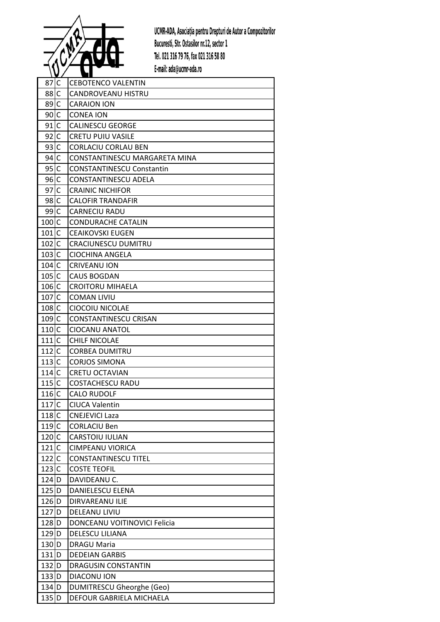

| 87 C               | <b>CEBOTENCO VALENTIN</b>        |
|--------------------|----------------------------------|
| 88 C               | CANDROVEANU HISTRU               |
| 89C                | <b>CARAION ION</b>               |
| 90 C               | <b>CONEA ION</b>                 |
| $91$ c             | <b>CALINESCU GEORGE</b>          |
| 92 C               | <b>CRETU PUIU VASILE</b>         |
| 93 C               | <b>CORLACIU CORLAU BEN</b>       |
| 94 C               | CONSTANTINESCU MARGARETA MINA    |
| 95 C               | <b>CONSTANTINESCU Constantin</b> |
| 96 C               | CONSTANTINESCU ADELA             |
| 97C                | <b>CRAINIC NICHIFOR</b>          |
| $98$ C             | <b>CALOFIR TRANDAFIR</b>         |
| 99C                | <b>CARNECIU RADU</b>             |
| 100 C              | <b>CONDURACHE CATALIN</b>        |
| 101C               | CEAIKOVSKI EUGEN                 |
| $102$ C            | CRACIUNESCU DUMITRU              |
| 103 <sub>c</sub>   | CIOCHINA ANGELA                  |
| $104$ C            | <b>CRIVEANU ION</b>              |
| $105$ C            | <b>CAUS BOGDAN</b>               |
| $106$ C            | <b>CROITORU MIHAELA</b>          |
| 107C               | <b>COMAN LIVIU</b>               |
| 108 C              | CIOCOIU NICOLAE                  |
| $109$ C            | <b>CONSTANTINESCU CRISAN</b>     |
| 110 C              | <b>CIOCANU ANATOL</b>            |
| 111C               | <b>CHILF NICOLAE</b>             |
| $112$ C            | <b>CORBEA DUMITRU</b>            |
| 113C               | <b>CORJOS SIMONA</b>             |
| 114C               | <b>CRETU OCTAVIAN</b>            |
| 115C               | <b>COSTACHESCU RADU</b>          |
| $116$ C            | <b>CALO RUDOLF</b>               |
| 117C               | <b>CIUCA Valentin</b>            |
| $118$ C            | <b>CNEJEVICI Laza</b>            |
| $119$ C            | <b>CORLACIU Ben</b>              |
| $120$ C            | CARSTOIU IULIAN                  |
| 121C               | <b>CIMPEANU VIORICA</b>          |
| $122$ C            | <b>CONSTANTINESCU TITEL</b>      |
| 123C               | <b>COSTE TEOFIL</b>              |
| $124$ D            | DAVIDEANU C.                     |
| $125$ D            | DANIELESCU ELENA                 |
| $126$ D            | DIRVAREANU ILIE                  |
| 127 D              | DELEANU LIVIU                    |
| $128$ D            | DONCEANU VOITINOVICI Felicia     |
| $129$ <sub>D</sub> | DELESCU LILIANA                  |
| 130 D              | <b>DRAGU Maria</b>               |
| $131$ D            | <b>DEDEIAN GARBIS</b>            |
| 132 D              | DRAGUSIN CONSTANTIN              |
| 133 D              | DIACONU ION                      |
| $134$ D            | <b>DUMITRESCU Gheorghe (Geo)</b> |
| 135 D              | DEFOUR GABRIELA MICHAELA         |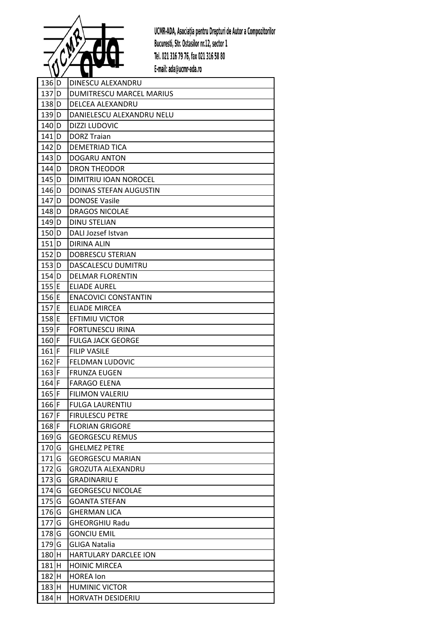

| $136$ D            |    | DINESCU ALEXANDRU             |
|--------------------|----|-------------------------------|
| 137 <sub>D</sub>   |    | DUMITRESCU MARCEL MARIUS      |
| 138 D              |    | <b>DELCEA ALEXANDRU</b>       |
| $139$ <sub>D</sub> |    | DANIELESCU ALEXANDRU NELU     |
| $140$ <sub>D</sub> |    | <b>DIZZI LUDOVIC</b>          |
| $141$ D            |    | <b>DORZ Traian</b>            |
| $142$ D            |    | <b>DEMETRIAD TICA</b>         |
| $143$ D            |    | <b>DOGARU ANTON</b>           |
| $144$ D            |    | <b>DRON THEODOR</b>           |
| $145$ <sub>D</sub> |    | DIMITRIU IOAN NOROCEL         |
| $146$ D            |    | <b>DOINAS STEFAN AUGUSTIN</b> |
| $147$ D            |    | <b>DONOSE Vasile</b>          |
| 148 D              |    | <b>DRAGOS NICOLAE</b>         |
| $149$ D            |    | <b>DINU STELIAN</b>           |
| 150 D              |    | DALI Jozsef Istvan            |
| $151$ D            |    | <b>DIRINA ALIN</b>            |
| $152$ D            |    | <b>DOBRESCU STERIAN</b>       |
| $153$ D            |    | DASCALESCU DUMITRU            |
| $154$ D            |    | <b>DELMAR FLORENTIN</b>       |
| $155$ E            |    | <b>ELIADE AUREL</b>           |
| $156$ E            |    | <b>ENACOVICI CONSTANTIN</b>   |
| $157$ E            |    | <b>ELIADE MIRCEA</b>          |
| 158 E              |    | EFTIMIU VICTOR                |
| $159$ F            |    | <b>FORTUNESCU IRINA</b>       |
| $160$ <sup>F</sup> |    | <b>FULGA JACK GEORGE</b>      |
| $161$ F            |    | <b>FILIP VASILE</b>           |
| $162$ F            |    | <b>FELDMAN LUDOVIC</b>        |
| $163$ F            |    | <b>FRUNZA EUGEN</b>           |
| $164$ F            |    | <b>FARAGO ELENA</b>           |
| $165$ F            |    | <b>FILIMON VALERIU</b>        |
| $166$ F            |    | <b>FULGA LAURENTIU</b>        |
| $167$ F            |    | <b>FIRULESCU PETRE</b>        |
| $168$ F            |    | <b>FLORIAN GRIGORE</b>        |
| $169$ <sup>G</sup> |    | <b>GEORGESCU REMUS</b>        |
| 170                | lG | <b>GHELMEZ PETRE</b>          |
| $171$ G            |    | <b>GEORGESCU MARIAN</b>       |
| $172$ G            |    | <b>GROZUTA ALEXANDRU</b>      |
| $173$ G            |    | <b>GRADINARIU E</b>           |
| $174$ G            |    | <b>GEORGESCU NICOLAE</b>      |
| $175$ G            |    | <b>GOANTA STEFAN</b>          |
| $176$ G            |    | <b>GHERMAN LICA</b>           |
| 177                | G  | <b>GHEORGHIU Radu</b>         |
| $178$ G            |    | <b>GONCIU EMIL</b>            |
| $179$ G            |    | <b>GLIGA Natalia</b>          |
| $180$ H            |    | HARTULARY DARCLEE ION         |
| $181$ H            |    | <b>HOINIC MIRCEA</b>          |
| 182 H              |    | <b>HOREA</b> Ion              |
| 183H               |    | <b>HUMINIC VICTOR</b>         |
| $184$ H            |    | HORVATH DESIDERIU             |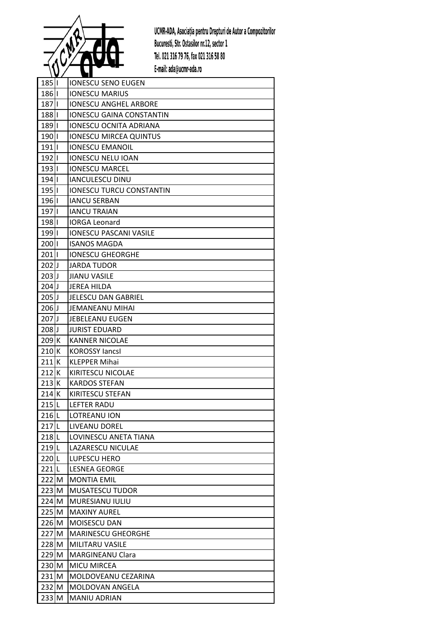

| $185$            | <b>IONESCU SENO EUGEN</b>       |
|------------------|---------------------------------|
| $186$            | <b>IONESCU MARIUS</b>           |
| $187$            | <b>IONESCU ANGHEL ARBORE</b>    |
| 188II            | <b>IONESCU GAINA CONSTANTIN</b> |
| 189              | <b>IONESCU OCNITA ADRIANA</b>   |
| $190$            | <b>IONESCU MIRCEA QUINTUS</b>   |
| $191$            | <b>IONESCU EMANOIL</b>          |
| $192$            | <b>IONESCU NELU IOAN</b>        |
| $193$            | <b>IONESCU MARCEL</b>           |
| 194              | <b>IANCULESCU DINU</b>          |
| $195$            | <b>IONESCU TURCU CONSTANTIN</b> |
| $196$            | <b>IANCU SERBAN</b>             |
| 1971             | <b>IANCU TRAIAN</b>             |
| $198$            | <b>IORGA Leonard</b>            |
| 1991             | <b>IONESCU PASCANI VASILE</b>   |
| $200$            | <b>ISANOS MAGDA</b>             |
| $201$            | <b>IONESCU GHEORGHE</b>         |
| $202$ J          | <b>JARDA TUDOR</b>              |
| $203$ J          | <b>JIANU VASILE</b>             |
| $204$ J          | <b>JEREA HILDA</b>              |
| $205$ J          | <b>JELESCU DAN GABRIEL</b>      |
| $206$ J          | <b>JEMANEANU MIHAI</b>          |
| $207$ J          | <b>JEBELEANU EUGEN</b>          |
| $208$ J          | <b>JURIST EDUARD</b>            |
| 209K             | <b>KANNER NICOLAE</b>           |
| 210K             | <b>KOROSSY JancsI</b>           |
| 211K             | <b>KLEPPER Mihai</b>            |
| 212K             | KIRITESCU NICOLAE               |
| 213K             | <b>KARDOS STEFAN</b>            |
| 214K             | KIRITESCU STEFAN                |
| 215L             | <b>LEFTER RADU</b>              |
| $216$  L         | LOTREANU ION                    |
| $217$ L          | <b>LIVEANU DOREL</b>            |
| $218$  L         | LOVINESCU ANETA TIANA           |
| 219 <sub>L</sub> | LAZARESCU NICULAE               |
| 220L             | <b>LUPESCU HERO</b>             |
| $221$  L         | <b>LESNEA GEORGE</b>            |
| $222$ M          | <b>MONTIA EMIL</b>              |
| $223$ M          | <b>MUSATESCU TUDOR</b>          |
| $224$ M          | <b>MURESIANU IULIU</b>          |
| $225$ M          | <b>MAXINY AUREL</b>             |
| $226$ M          | <b>MOISESCU DAN</b>             |
| 227 M            | <b>MARINESCU GHEORGHE</b>       |
| 228 M            | MILITARU VASILE                 |
| $229$ M          | <b>MARGINEANU Clara</b>         |
| $230$ M          | MICU MIRCEA                     |
| $231$ M          | MOLDOVEANU CEZARINA             |
| $232$ M          | MOLDOVAN ANGELA                 |
| $233$ M          | <b>MANIU ADRIAN</b>             |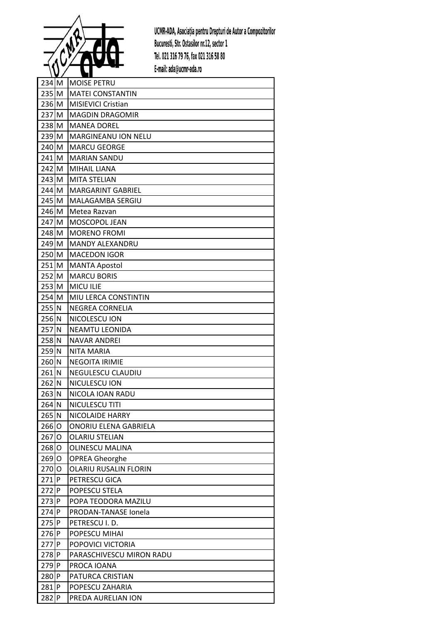

| $234$ M            | <b>MOISE PETRU</b>           |
|--------------------|------------------------------|
| $235$ M            | <b>MATEI CONSTANTIN</b>      |
| $236$ M            | <b>MISIEVICI Cristian</b>    |
| $237$ M            | <b>MAGDIN DRAGOMIR</b>       |
| $238$ M            | <b>MANEA DOREL</b>           |
| $239$ M            | MARGINEANU ION NELU          |
| $240$ M            | <b>MARCU GEORGE</b>          |
| $241$ M            | <b>MARIAN SANDU</b>          |
| 242 M              | <b>MIHAIL LIANA</b>          |
| $243$ M            | <b>MITA STELIAN</b>          |
| 244 M              | <b>MARGARINT GABRIEL</b>     |
| $245$ M            | MALAGAMBA SERGIU             |
| 246 M              | Metea Razvan                 |
| $247$ M            | MOSCOPOL JEAN                |
| $248$ M            | <b>MORENO FROMI</b>          |
| $249$ M            | <b>MANDY ALEXANDRU</b>       |
| 250M               | <b>MACEDON IGOR</b>          |
| $251$ M            | <b>MANTA Apostol</b>         |
| $252$ M            | <b>MARCU BORIS</b>           |
| $253$ M            | <b>MICU ILIE</b>             |
| $254$ M            | MIU LERCA CONSTINTIN         |
| $255$ N            | NEGREA CORNELIA              |
| $256$ <sup>N</sup> | NICOLESCU ION                |
| $257$ N            | <b>NEAMTU LEONIDA</b>        |
| $258$ N            | <b>NAVAR ANDREI</b>          |
| $259$ N            | NITA MARIA                   |
| $260$ <sup>N</sup> | <b>NEGOITA IRIMIE</b>        |
| $261$ <sub>N</sub> | NEGULESCU CLAUDIU            |
| $262$ N            | NICULESCU ION                |
| $263$ N            | NICOLA IOAN RADU             |
| $264$ N            | NICULESCU TITI               |
| $265$ N            | NICOLAIDE HARRY              |
| $266$ O            | ONORIU ELENA GABRIELA        |
| $267$ O            | <b>OLARIU STELIAN</b>        |
| 268O               | <b>OLINESCU MALINA</b>       |
| $269$ O            | <b>OPREA Gheorghe</b>        |
| $270$ O            | <b>OLARIU RUSALIN FLORIN</b> |
| $271$ P            | PETRESCU GICA                |
| $272$ P            | POPESCU STELA                |
| $273$ P            | POPA TEODORA MAZILU          |
| 274P               | PRODAN-TANASE Ionela         |
| 275P               | PETRESCU I.D.                |
| $276$ P            | POPESCU MIHAI                |
| $277$ P            | POPOVICI VICTORIA            |
| 278P               | PARASCHIVESCU MIRON RADU     |
| 279P               | PROCA IOANA                  |
| $280$ P            | PATURCA CRISTIAN             |
| $281$ P            | POPESCU ZAHARIA              |
| $282$ P            | PREDA AURELIAN ION           |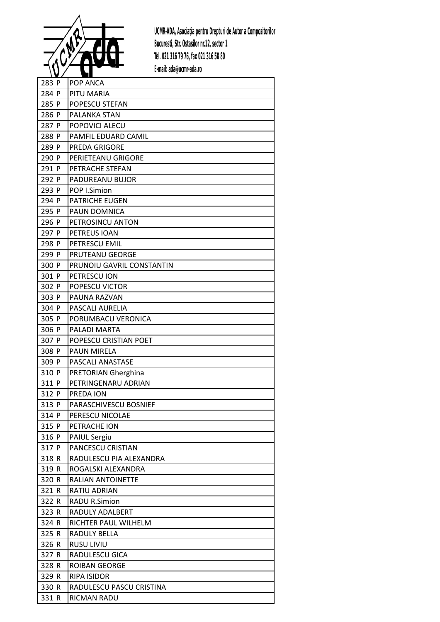

| $283$ P            | POP ANCA                   |
|--------------------|----------------------------|
| $284$ P            | PITU MARIA                 |
| $285$ P            | POPESCU STEFAN             |
| 286P               | PALANKA STAN               |
| 287P               | POPOVICI ALECU             |
| 288P               | PAMFIL EDUARD CAMIL        |
| $289$ P            | <b>PREDA GRIGORE</b>       |
| $290$ P            | PERIETEANU GRIGORE         |
| $291$ P            | PETRACHE STEFAN            |
| $292$ P            | PADUREANU BUJOR            |
| 293 P              | POP I.Simion               |
| 294 P              | <b>PATRICHE EUGEN</b>      |
| 295 P              | PAUN DOMNICA               |
| 296P               | PETROSINCU ANTON           |
| $297$ P            | PETREUS IOAN               |
| 298P               | PETRESCU EMIL              |
| $299$ P            | PRUTEANU GEORGE            |
| 300 P              | PRUNOIU GAVRIL CONSTANTIN  |
| 301P               | PETRESCU ION               |
| $302$ P            | POPESCU VICTOR             |
| $303$ P            | PAUNA RAZVAN               |
| $304$ P            | PASCALI AURELIA            |
| 305 P              | PORUMBACU VERONICA         |
| 306 P              | PALADI MARTA               |
| 307 P              | POPESCU CRISTIAN POET      |
| 308P               | <b>PAUN MIRELA</b>         |
| $309$ P            | PASCALI ANASTASE           |
| $310$ P            | <b>PRETORIAN Gherghina</b> |
| $311$ P            | PETRINGENARU ADRIAN        |
| $312$ P            | PREDA ION                  |
| 313P               | PARASCHIVESCU BOSNIEF      |
| $314$ P            | PERESCU NICOLAE            |
| $315$  P           | PETRACHE ION               |
| $316$ P            | <b>PAIUL Sergiu</b>        |
| $317$ P            | PANCESCU CRISTIAN          |
| 318R               | RADULESCU PIA ALEXANDRA    |
| 319 R              | ROGALSKI ALEXANDRA         |
| $320$ <sub>R</sub> | RALIAN ANTOINETTE          |
| 321R               | RATIU ADRIAN               |
| 322R               | <b>RADU R.Simion</b>       |
| 323 R              | RADULY ADALBERT            |
| 324 R              | RICHTER PAUL WILHELM       |
| 325 R              | RADULY BELLA               |
| 326 R              | <b>RUSU LIVIU</b>          |
| 327R               | RADULESCU GICA             |
| 328R               | ROIBAN GEORGE              |
| $329$ <sub>R</sub> | <b>RIPA ISIDOR</b>         |
| 330 R              | RADULESCU PASCU CRISTINA   |
| 331 R              | RICMAN RADU                |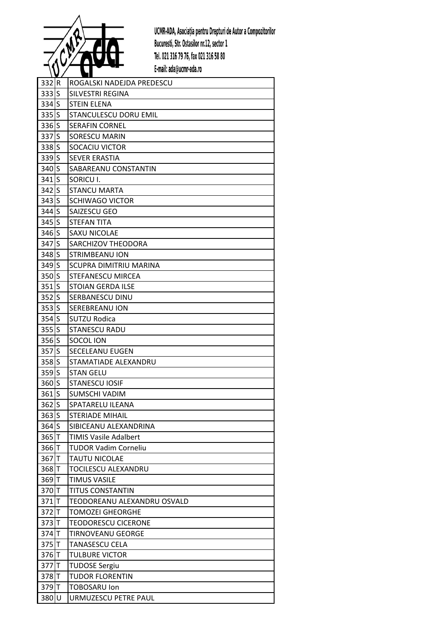

| 332R    | ROGALSKI NADEJDA PREDESCU    |
|---------|------------------------------|
| 333S    | SILVESTRI REGINA             |
| $334$ S | <b>STEIN ELENA</b>           |
| $335$ S | STANCULESCU DORU EMIL        |
| $336$ S | <b>SERAFIN CORNEL</b>        |
| 337S    | <b>SORESCU MARIN</b>         |
| $338$ S | SOCACIU VICTOR               |
| 339S    | <b>SEVER ERASTIA</b>         |
| $340$ S | SABAREANU CONSTANTIN         |
| 341S    | SORICU I.                    |
| $342$ S | <b>STANCU MARTA</b>          |
| $343$ S | <b>SCHIWAGO VICTOR</b>       |
| $344$ S | SAIZESCU GEO                 |
| $345$ S | <b>STEFAN TITA</b>           |
| $346$ S | <b>SAXU NICOLAE</b>          |
| 347S    | SARCHIZOV THEODORA           |
| 348S    | STRIMBEANU ION               |
| $349$ S | SCUPRA DIMITRIU MARINA       |
| 350S    | STEFANESCU MIRCEA            |
| $351$ S | <b>STOIAN GERDA ILSE</b>     |
| $352$ S | SERBANESCU DINU              |
| 353S    | SEREBREANU ION               |
| $354$ S | SUTZU Rodica                 |
| $355$ S | <b>STANESCU RADU</b>         |
| 356S    | SOCOL ION                    |
| 357S    | SECELEANU EUGEN              |
| $358$ S | STAMATIADE ALEXANDRU         |
| $359$ S | <b>STAN GELU</b>             |
| $360$ S | <b>STANESCU IOSIF</b>        |
| $361$ S | SUMSCHI VADIM                |
| $362$ S | SPATARELU ILEANA             |
| $363$ S | <b>STERIADE MIHAIL</b>       |
| $364$ S | SIBICEANU ALEXANDRINA        |
| 365T    | <b>TIMIS Vasile Adalbert</b> |
| 366T    | <b>TUDOR Vadim Corneliu</b>  |
| 367T    | <b>TAUTU NICOLAE</b>         |
| 368T    | TOCILESCU ALEXANDRU          |
| 369 T   | <b>TIMUS VASILE</b>          |
| 370T    | <b>TITUS CONSTANTIN</b>      |
| $371$ T | TEODOREANU ALEXANDRU OSVALD  |
| 372T    | <b>TOMOZEI GHEORGHE</b>      |
| $373$ T | <b>TEODORESCU CICERONE</b>   |
| 374T    | TIRNOVEANU GEORGE            |
| $375$ T | <b>TANASESCU CELA</b>        |
| 376 T   | <b>TULBURE VICTOR</b>        |
| 377 T   | <b>TUDOSE Sergiu</b>         |
| 378T    | <b>TUDOR FLORENTIN</b>       |
| 379 T   | TOBOSARU Ion                 |
| 380U    | URMUZESCU PETRE PAUL         |